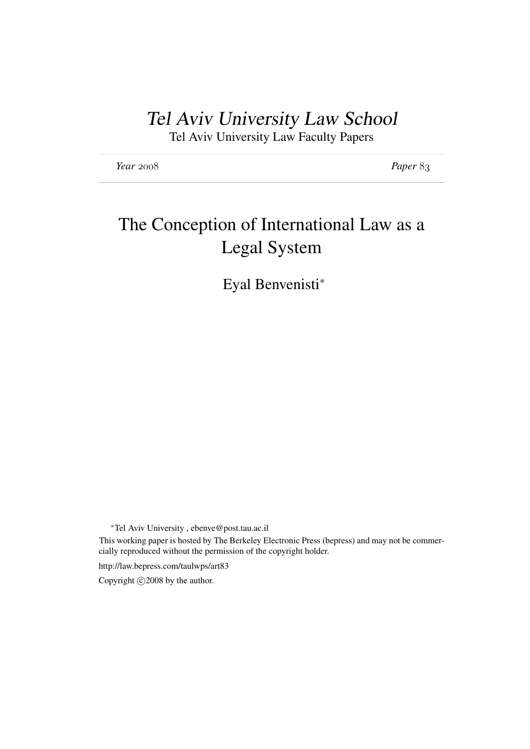# Tel Aviv University Law School

Tel Aviv University Law Faculty Papers

*Year* 2008 *Paper* 83

# The Conception of International Law as a Legal System

Eyal Benvenisti<sup>∗</sup>

<sup>∗</sup>Tel Aviv University , ebenve@post.tau.ac.il This working paper is hosted by The Berkeley Electronic Press (bepress) and may not be commercially reproduced without the permission of the copyright holder.

http://law.bepress.com/taulwps/art83

Copyright  $\odot$ 2008 by the author.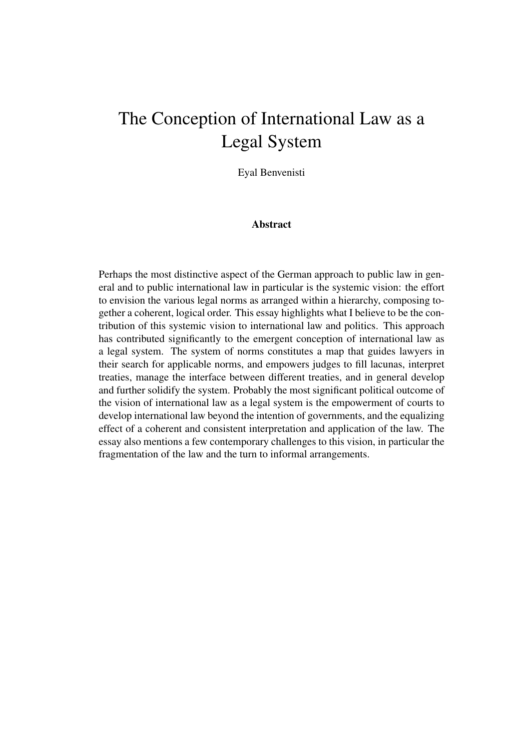# The Conception of International Law as a Legal System

Eyal Benvenisti

# Abstract

Perhaps the most distinctive aspect of the German approach to public law in general and to public international law in particular is the systemic vision: the effort to envision the various legal norms as arranged within a hierarchy, composing together a coherent, logical order. This essay highlights what I believe to be the contribution of this systemic vision to international law and politics. This approach has contributed significantly to the emergent conception of international law as a legal system. The system of norms constitutes a map that guides lawyers in their search for applicable norms, and empowers judges to fill lacunas, interpret treaties, manage the interface between different treaties, and in general develop and further solidify the system. Probably the most significant political outcome of the vision of international law as a legal system is the empowerment of courts to develop international law beyond the intention of governments, and the equalizing effect of a coherent and consistent interpretation and application of the law. The essay also mentions a few contemporary challenges to this vision, in particular the fragmentation of the law and the turn to informal arrangements.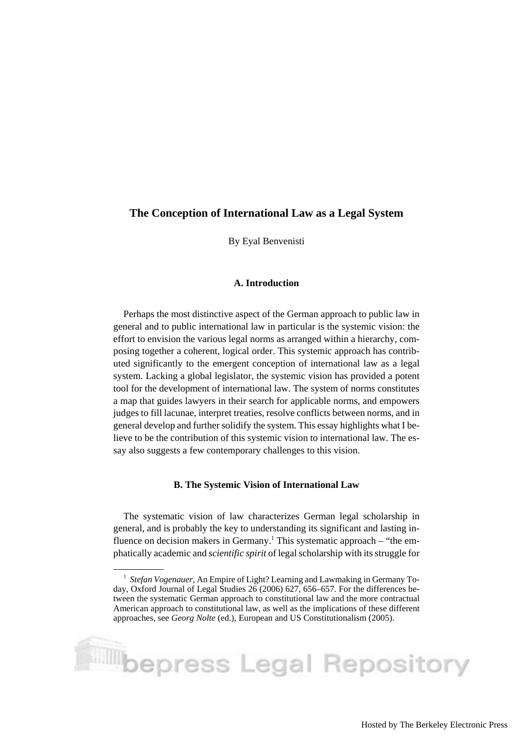# **The Conception of International Law as a Legal System**

By Eyal Benvenisti

#### **A. Introduction**

Perhaps the most distinctive aspect of the German approach to public law in general and to public international law in particular is the systemic vision: the effort to envision the various legal norms as arranged within a hierarchy, composing together a coherent, logical order. This systemic approach has contributed significantly to the emergent conception of international law as a legal system. Lacking a global legislator, the systemic vision has provided a potent tool for the development of international law. The system of norms constitutes a map that guides lawyers in their search for applicable norms, and empowers judges to fill lacunae, interpret treaties, resolve conflicts between norms, and in general develop and further solidify the system. This essay highlights what I believe to be the contribution of this systemic vision to international law. The essay also suggests a few contemporary challenges to this vision.

#### **B. The Systemic Vision of International Law**

The systematic vision of law characterizes German legal scholarship in general, and is probably the key to understanding its significant and lasting influence on decision makers in Germany.<sup>1</sup> This systematic approach – "the emphatically academic and *scientific spirit* of legal scholarship with its struggle for

<sup>&</sup>lt;sup>1</sup> Stefan Vogenauer, An Empire of Light? Learning and Lawmaking in Germany Today, Oxford Journal of Legal Studies 26 (2006) 627, 656–657. For the differences between the systematic German approach to constitutional law and the more contractual American approach to constitutional law, as well as the implications of these different approaches, see *Georg Nolte* (ed.), European and US Constitutionalism (2005).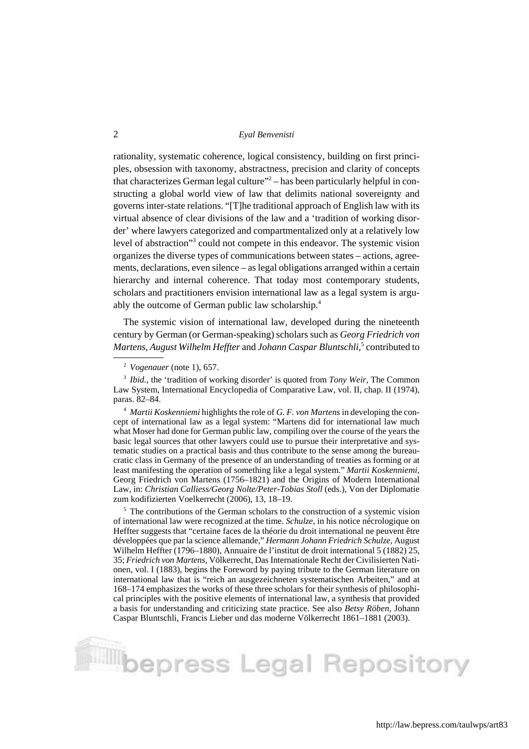rationality, systematic coherence, logical consistency, building on first principles, obsession with taxonomy, abstractness, precision and clarity of concepts that characterizes German legal culture"<sup>2</sup> – has been particularly helpful in constructing a global world view of law that delimits national sovereignty and governs inter-state relations. "[T]he traditional approach of English law with its virtual absence of clear divisions of the law and a 'tradition of working disorder' where lawyers categorized and compartmentalized only at a relatively low level of abstraction"3 could not compete in this endeavor. The systemic vision organizes the diverse types of communications between states – actions, agreements, declarations, even silence – as legal obligations arranged within a certain hierarchy and internal coherence. That today most contemporary students, scholars and practitioners envision international law as a legal system is arguably the outcome of German public law scholarship.4

The systemic vision of international law, developed during the nineteenth century by German (or German-speaking) scholars such as *Georg Friedrich von Martens, August Wilhelm Heffter* and *Johann Caspar Bluntschli,*<sup>5</sup> contributed to

<sup>4</sup> *Martii Koskenniemi* highlights the role of *G. F. von Martens* in developing the concept of international law as a legal system: "Martens did for international law much what Moser had done for German public law, compiling over the course of the years the basic legal sources that other lawyers could use to pursue their interpretative and systematic studies on a practical basis and thus contribute to the sense among the bureaucratic class in Germany of the presence of an understanding of treaties as forming or at least manifesting the operation of something like a legal system." *Martii Koskenniemi,* Georg Friedrich von Martens (1756–1821) and the Origins of Modern International Law, in: *Christian Calliess/Georg Nolte/Peter-Tobias Stoll* (eds.), Von der Diplomatie zum kodifizierten Voelkerrecht (2006), 13, 18–19.

 $<sup>5</sup>$  The contributions of the German scholars to the construction of a systemic vision</sup> of international law were recognized at the time. *Schulze,* in his notice nécrologique on Heffter suggests that "certaine faces de la théorie du droit international ne peuvent être développées que par la science allemande," *Hermann Johann Friedrich Schulze,* August Wilhelm Heffter (1796–1880), Annuaire de l'institut de droit international 5 (1882) 25, 35; *Friedrich von Martens,* Völkerrecht, Das Internationale Recht der Civilisierten Nationen, vol. I (1883), begins the Foreword by paying tribute to the German literature on international law that is "reich an ausgezeichneten systematischen Arbeiten," and at 168–174 emphasizes the works of these three scholars for their synthesis of philosophical principles with the positive elements of international law, a synthesis that provided a basis for understanding and criticizing state practice. See also *Betsy Röben,* Johann Caspar Bluntschli, Francis Lieber und das moderne Völkerrecht 1861–1881 (2003).

**Music Separess Legal Repository** 

<sup>2</sup> *Vogenauer* (note 1), 657.

<sup>3</sup> *Ibid.,* the 'tradition of working disorder' is quoted from *Tony Weir,* The Common Law System, International Encyclopedia of Comparative Law, vol. II, chap. II (1974), paras. 82–84.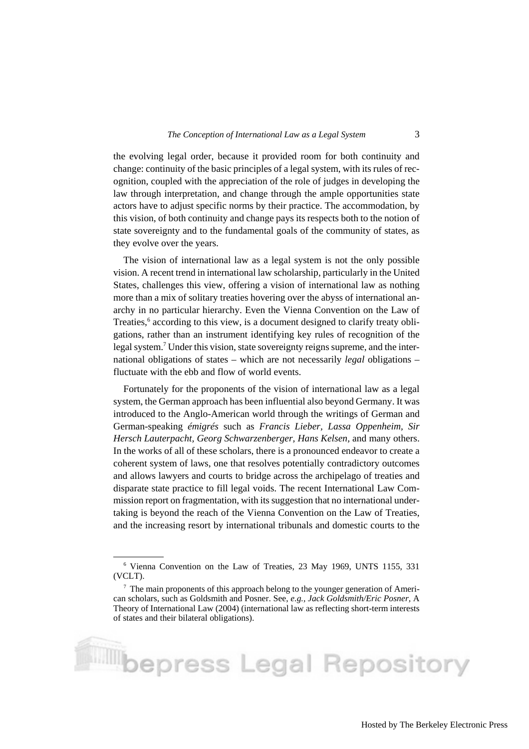the evolving legal order, because it provided room for both continuity and change: continuity of the basic principles of a legal system, with its rules of recognition, coupled with the appreciation of the role of judges in developing the law through interpretation, and change through the ample opportunities state actors have to adjust specific norms by their practice. The accommodation, by this vision, of both continuity and change pays its respects both to the notion of state sovereignty and to the fundamental goals of the community of states, as they evolve over the years.

The vision of international law as a legal system is not the only possible vision. A recent trend in international law scholarship, particularly in the United States, challenges this view, offering a vision of international law as nothing more than a mix of solitary treaties hovering over the abyss of international anarchy in no particular hierarchy. Even the Vienna Convention on the Law of Treaties,<sup>6</sup> according to this view, is a document designed to clarify treaty obligations, rather than an instrument identifying key rules of recognition of the legal system.<sup>7</sup> Under this vision, state sovereignty reigns supreme, and the international obligations of states – which are not necessarily *legal* obligations – fluctuate with the ebb and flow of world events.

Fortunately for the proponents of the vision of international law as a legal system, the German approach has been influential also beyond Germany. It was introduced to the Anglo-American world through the writings of German and German-speaking *émigrés* such as *Francis Lieber, Lassa Oppenheim, Sir Hersch Lauterpacht, Georg Schwarzenberger, Hans Kelsen,* and many others. In the works of all of these scholars, there is a pronounced endeavor to create a coherent system of laws, one that resolves potentially contradictory outcomes and allows lawyers and courts to bridge across the archipelago of treaties and disparate state practice to fill legal voids. The recent International Law Commission report on fragmentation, with its suggestion that no international undertaking is beyond the reach of the Vienna Convention on the Law of Treaties, and the increasing resort by international tribunals and domestic courts to the

<sup>6</sup> Vienna Convention on the Law of Treaties, 23 May 1969, UNTS 1155, 331 (VCLT).

 $<sup>7</sup>$  The main proponents of this approach belong to the younger generation of Ameri-</sup> can scholars, such as Goldsmith and Posner. See, *e.g., Jack Goldsmith/Eric Posner,* A Theory of International Law (2004) (international law as reflecting short-term interests of states and their bilateral obligations).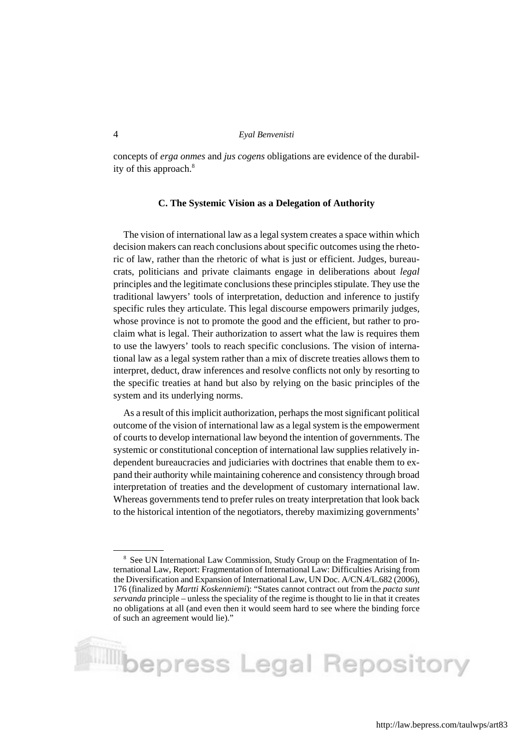concepts of *erga onmes* and *jus cogens* obligations are evidence of the durability of this approach.<sup>8</sup>

#### **C. The Systemic Vision as a Delegation of Authority**

The vision of international law as a legal system creates a space within which decision makers can reach conclusions about specific outcomes using the rhetoric of law, rather than the rhetoric of what is just or efficient. Judges, bureaucrats, politicians and private claimants engage in deliberations about *legal* principles and the legitimate conclusions these principles stipulate. They use the traditional lawyers' tools of interpretation, deduction and inference to justify specific rules they articulate. This legal discourse empowers primarily judges, whose province is not to promote the good and the efficient, but rather to proclaim what is legal. Their authorization to assert what the law is requires them to use the lawyers' tools to reach specific conclusions. The vision of international law as a legal system rather than a mix of discrete treaties allows them to interpret, deduct, draw inferences and resolve conflicts not only by resorting to the specific treaties at hand but also by relying on the basic principles of the system and its underlying norms.

As a result of this implicit authorization, perhaps the most significant political outcome of the vision of international law as a legal system is the empowerment of courts to develop international law beyond the intention of governments. The systemic or constitutional conception of international law supplies relatively independent bureaucracies and judiciaries with doctrines that enable them to expand their authority while maintaining coherence and consistency through broad interpretation of treaties and the development of customary international law. Whereas governments tend to prefer rules on treaty interpretation that look back to the historical intention of the negotiators, thereby maximizing governments'

<sup>&</sup>lt;sup>8</sup> See UN International Law Commission, Study Group on the Fragmentation of International Law, Report: Fragmentation of International Law: Difficulties Arising from the Diversification and Expansion of International Law, UN Doc. A/CN.4/L.682 (2006), 176 (finalized by *Martti Koskenniemi*): "States cannot contract out from the *pacta sunt servanda* principle – unless the speciality of the regime is thought to lie in that it creates no obligations at all (and even then it would seem hard to see where the binding force of such an agreement would lie)."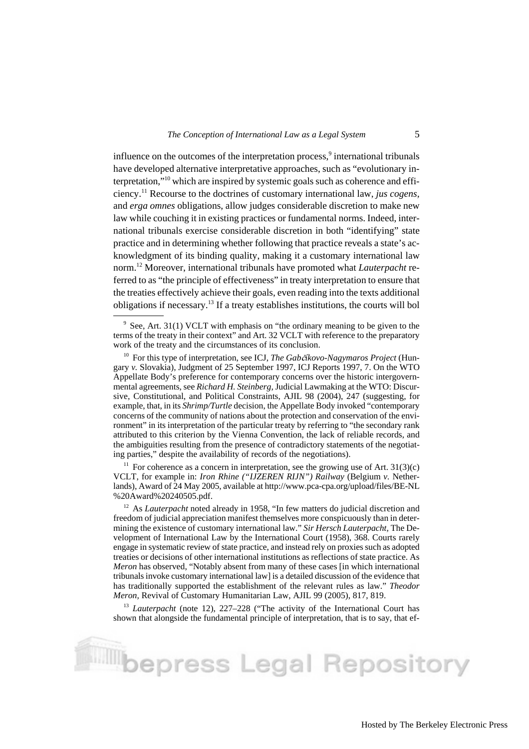influence on the outcomes of the interpretation process,<sup>9</sup> international tribunals have developed alternative interpretative approaches, such as "evolutionary interpretation,"10 which are inspired by systemic goals such as coherence and efficiency.11 Recourse to the doctrines of customary international law, *jus cogens,* and *erga omnes* obligations, allow judges considerable discretion to make new law while couching it in existing practices or fundamental norms. Indeed, international tribunals exercise considerable discretion in both "identifying" state practice and in determining whether following that practice reveals a state's acknowledgment of its binding quality, making it a customary international law norm.12 Moreover, international tribunals have promoted what *Lauterpacht* referred to as "the principle of effectiveness" in treaty interpretation to ensure that the treaties effectively achieve their goals, even reading into the texts additional obligations if necessary.13 If a treaty establishes institutions, the courts will bol

<sup>11</sup> For coherence as a concern in interpretation, see the growing use of Art.  $31(3)(c)$ VCLT, for example in: *Iron Rhine ("IJZEREN RIJN") Railway* (Belgium *v.* Netherlands), Award of 24 May 2005, available at http://www.pca-cpa.org/upload/files/BE-NL %20Award%20240505.pdf.

<sup>13</sup> *Lauterpacht* (note 12), 227–228 ("The activity of the International Court has shown that alongside the fundamental principle of interpretation, that is to say, that ef-

bepress Legal Repository

<sup>&</sup>lt;sup>9</sup> See, Art. 31(1) VCLT with emphasis on "the ordinary meaning to be given to the terms of the treaty in their context" and Art. 32 VCLT with reference to the preparatory work of the treaty and the circumstances of its conclusion.

<sup>&</sup>lt;sup>10</sup> For this type of interpretation, see ICJ, *The Gabčíkovo-Nagymaros Project* (Hungary *v.* Slovakia), Judgment of 25 September 1997, ICJ Reports 1997, 7. On the WTO Appellate Body's preference for contemporary concerns over the historic intergovernmental agreements, see *Richard H. Steinberg,* Judicial Lawmaking at the WTO: Discursive, Constitutional, and Political Constraints, AJIL 98 (2004), 247 (suggesting, for example, that, in its *Shrimp/Turtle* decision, the Appellate Body invoked "contemporary concerns of the community of nations about the protection and conservation of the environment" in its interpretation of the particular treaty by referring to "the secondary rank attributed to this criterion by the Vienna Convention, the lack of reliable records, and the ambiguities resulting from the presence of contradictory statements of the negotiating parties," despite the availability of records of the negotiations).

<sup>&</sup>lt;sup>12</sup> As *Lauterpacht* noted already in 1958, "In few matters do judicial discretion and freedom of judicial appreciation manifest themselves more conspicuously than in determining the existence of customary international law." *Sir Hersch Lauterpacht,* The Development of International Law by the International Court (1958), 368. Courts rarely engage in systematic review of state practice, and instead rely on proxies such as adopted treaties or decisions of other international institutions as reflections of state practice. As *Meron* has observed, "Notably absent from many of these cases [in which international tribunals invoke customary international law] is a detailed discussion of the evidence that has traditionally supported the establishment of the relevant rules as law." *Theodor Meron,* Revival of Customary Humanitarian Law, AJIL 99 (2005), 817, 819.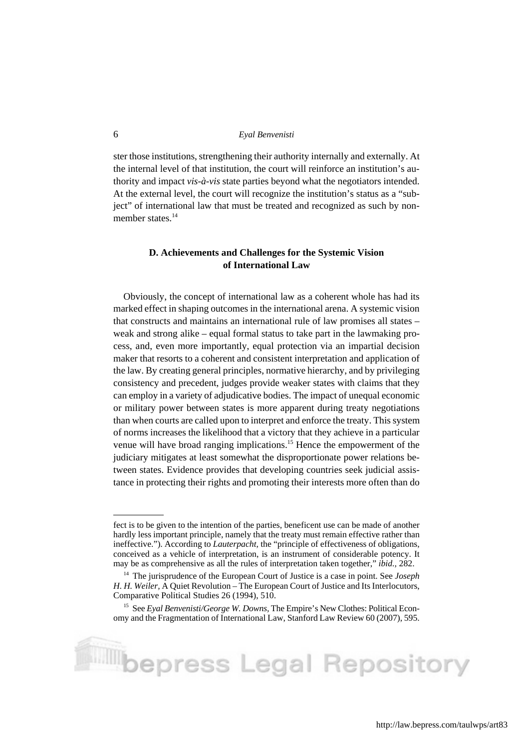ster those institutions, strengthening their authority internally and externally. At the internal level of that institution, the court will reinforce an institution's authority and impact *vis-à-vis* state parties beyond what the negotiators intended. At the external level, the court will recognize the institution's status as a "subject" of international law that must be treated and recognized as such by nonmember states.<sup>14</sup>

# **D. Achievements and Challenges for the Systemic Vision of International Law**

Obviously, the concept of international law as a coherent whole has had its marked effect in shaping outcomes in the international arena. A systemic vision that constructs and maintains an international rule of law promises all states – weak and strong alike – equal formal status to take part in the lawmaking process, and, even more importantly, equal protection via an impartial decision maker that resorts to a coherent and consistent interpretation and application of the law. By creating general principles, normative hierarchy, and by privileging consistency and precedent, judges provide weaker states with claims that they can employ in a variety of adjudicative bodies. The impact of unequal economic or military power between states is more apparent during treaty negotiations than when courts are called upon to interpret and enforce the treaty. This system of norms increases the likelihood that a victory that they achieve in a particular venue will have broad ranging implications.<sup>15</sup> Hence the empowerment of the judiciary mitigates at least somewhat the disproportionate power relations between states. Evidence provides that developing countries seek judicial assistance in protecting their rights and promoting their interests more often than do

fect is to be given to the intention of the parties, beneficent use can be made of another hardly less important principle, namely that the treaty must remain effective rather than ineffective."). According to *Lauterpacht,* the "principle of effectiveness of obligations, conceived as a vehicle of interpretation, is an instrument of considerable potency. It may be as comprehensive as all the rules of interpretation taken together," *ibid.,* 282.

<sup>14</sup> The jurisprudence of the European Court of Justice is a case in point. See *Joseph H. H. Weiler,* A Quiet Revolution – The European Court of Justice and Its Interlocutors, Comparative Political Studies 26 (1994), 510.

<sup>15</sup> See *Eyal Benvenisti/George W. Downs,* The Empire's New Clothes: Political Economy and the Fragmentation of International Law, Stanford Law Review 60 (2007), 595.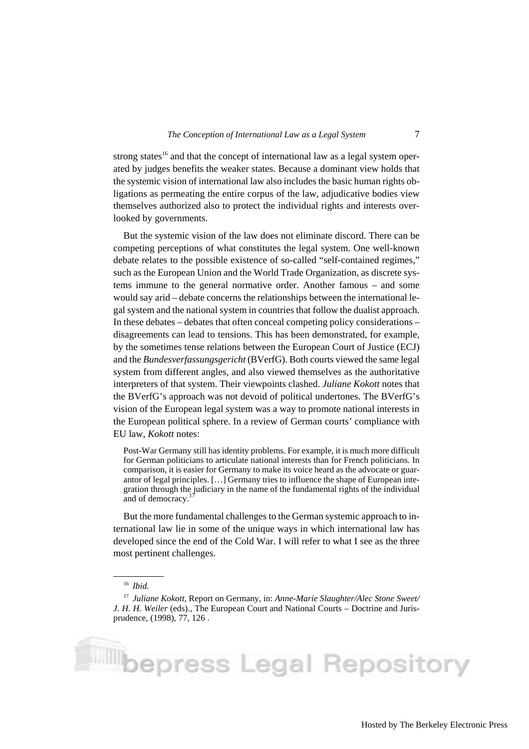strong states<sup>16</sup> and that the concept of international law as a legal system operated by judges benefits the weaker states. Because a dominant view holds that the systemic vision of international law also includes the basic human rights obligations as permeating the entire corpus of the law, adjudicative bodies view themselves authorized also to protect the individual rights and interests overlooked by governments.

But the systemic vision of the law does not eliminate discord. There can be competing perceptions of what constitutes the legal system. One well-known debate relates to the possible existence of so-called "self-contained regimes," such as the European Union and the World Trade Organization, as discrete systems immune to the general normative order. Another famous – and some would say arid – debate concerns the relationships between the international legal system and the national system in countries that follow the dualist approach. In these debates – debates that often conceal competing policy considerations – disagreements can lead to tensions. This has been demonstrated, for example, by the sometimes tense relations between the European Court of Justice (ECJ) and the *Bundesverfassungsgericht* (BVerfG). Both courts viewed the same legal system from different angles, and also viewed themselves as the authoritative interpreters of that system. Their viewpoints clashed. *Juliane Kokott* notes that the BVerfG's approach was not devoid of political undertones. The BVerfG's vision of the European legal system was a way to promote national interests in the European political sphere. In a review of German courts' compliance with EU law, *Kokott* notes:

Post-War Germany still has identity problems. For example, it is much more difficult for German politicians to articulate national interests than for French politicians. In comparison, it is easier for Germany to make its voice heard as the advocate or guarantor of legal principles. […] Germany tries to influence the shape of European integration through the judiciary in the name of the fundamental rights of the individual and of democracy.

But the more fundamental challenges to the German systemic approach to international law lie in some of the unique ways in which international law has developed since the end of the Cold War. I will refer to what I see as the three most pertinent challenges.

<sup>16</sup> *Ibid.*

<sup>17</sup> *Juliane Kokott,* Report on Germany, in: *Anne-Marie Slaughter/Alec Stone Sweet/ J. H. H. Weiler* (eds)., The European Court and National Courts – Doctrine and Jurisprudence, (1998), 77, 126 .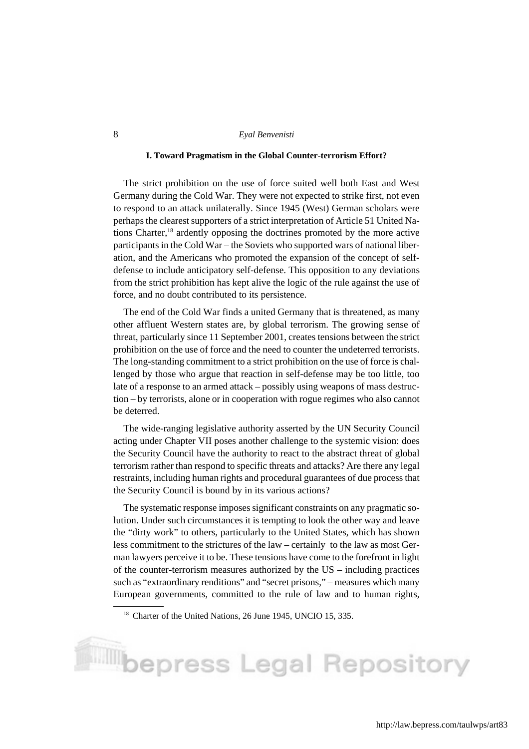#### **I. Toward Pragmatism in the Global Counter-terrorism Effort?**

The strict prohibition on the use of force suited well both East and West Germany during the Cold War. They were not expected to strike first, not even to respond to an attack unilaterally. Since 1945 (West) German scholars were perhaps the clearest supporters of a strict interpretation of Article 51 United Nations Charter,18 ardently opposing the doctrines promoted by the more active participants in the Cold War – the Soviets who supported wars of national liberation, and the Americans who promoted the expansion of the concept of selfdefense to include anticipatory self-defense. This opposition to any deviations from the strict prohibition has kept alive the logic of the rule against the use of force, and no doubt contributed to its persistence.

The end of the Cold War finds a united Germany that is threatened, as many other affluent Western states are, by global terrorism. The growing sense of threat, particularly since 11 September 2001, creates tensions between the strict prohibition on the use of force and the need to counter the undeterred terrorists. The long-standing commitment to a strict prohibition on the use of force is challenged by those who argue that reaction in self-defense may be too little, too late of a response to an armed attack – possibly using weapons of mass destruction – by terrorists, alone or in cooperation with rogue regimes who also cannot be deterred.

The wide-ranging legislative authority asserted by the UN Security Council acting under Chapter VII poses another challenge to the systemic vision: does the Security Council have the authority to react to the abstract threat of global terrorism rather than respond to specific threats and attacks? Are there any legal restraints, including human rights and procedural guarantees of due process that the Security Council is bound by in its various actions?

The systematic response imposes significant constraints on any pragmatic solution. Under such circumstances it is tempting to look the other way and leave the "dirty work" to others, particularly to the United States, which has shown less commitment to the strictures of the law – certainly to the law as most German lawyers perceive it to be. These tensions have come to the forefront in light of the counter-terrorism measures authorized by the US – including practices such as "extraordinary renditions" and "secret prisons," – measures which many European governments, committed to the rule of law and to human rights,

# **Music Separess Legal Repository**

<sup>&</sup>lt;sup>18</sup> Charter of the United Nations, 26 June 1945, UNCIO 15, 335.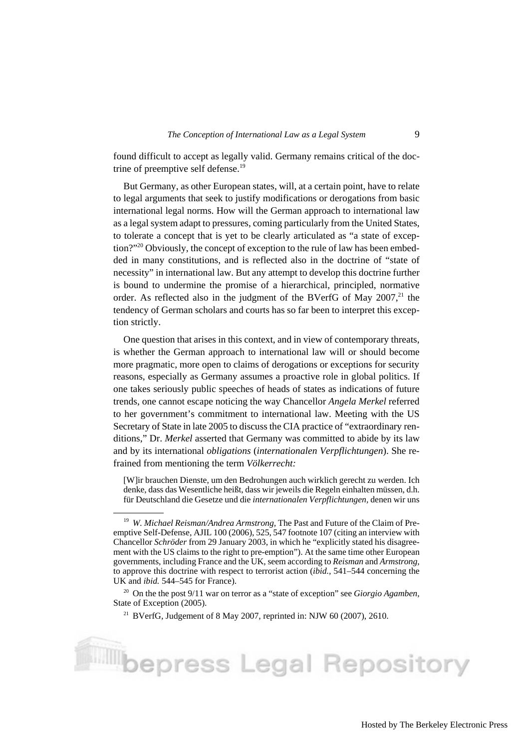found difficult to accept as legally valid. Germany remains critical of the doctrine of preemptive self defense.<sup>19</sup>

But Germany, as other European states, will, at a certain point, have to relate to legal arguments that seek to justify modifications or derogations from basic international legal norms. How will the German approach to international law as a legal system adapt to pressures, coming particularly from the United States, to tolerate a concept that is yet to be clearly articulated as "a state of exception?"<sup>20</sup> Obviously, the concept of exception to the rule of law has been embedded in many constitutions, and is reflected also in the doctrine of "state of necessity" in international law. But any attempt to develop this doctrine further is bound to undermine the promise of a hierarchical, principled, normative order. As reflected also in the judgment of the BVerfG of May  $2007$ <sup>21</sup>, the tendency of German scholars and courts has so far been to interpret this exception strictly.

One question that arises in this context, and in view of contemporary threats, is whether the German approach to international law will or should become more pragmatic, more open to claims of derogations or exceptions for security reasons, especially as Germany assumes a proactive role in global politics. If one takes seriously public speeches of heads of states as indications of future trends, one cannot escape noticing the way Chancellor *Angela Merkel* referred to her government's commitment to international law. Meeting with the US Secretary of State in late 2005 to discuss the CIA practice of "extraordinary renditions," Dr. *Merkel* asserted that Germany was committed to abide by its law and by its international *obligations* (*internationalen Verpflichtungen*). She refrained from mentioning the term *Völkerrecht:*

[W]ir brauchen Dienste, um den Bedrohungen auch wirklich gerecht zu werden. Ich denke, dass das Wesentliche heißt, dass wir jeweils die Regeln einhalten müssen, d.h. für Deutschland die Gesetze und die *internationalen Verpflichtungen,* denen wir uns

<sup>19</sup> *W. Michael Reisman/Andrea Armstrong,* The Past and Future of the Claim of Preemptive Self-Defense, AJIL 100 (2006), 525, 547 footnote 107 (citing an interview with Chancellor *Schröder* from 29 January 2003, in which he "explicitly stated his disagreement with the US claims to the right to pre-emption"). At the same time other European governments, including France and the UK, seem according to *Reisman* and *Armstrong,* to approve this doctrine with respect to terrorist action (*ibid.,* 541–544 concerning the UK and *ibid.* 544–545 for France).

<sup>20</sup> On the the post 9/11 war on terror as a "state of exception" see *Giorgio Agamben,* State of Exception (2005).

<sup>&</sup>lt;sup>21</sup> BVerfG, Judgement of 8 May 2007, reprinted in: NJW 60 (2007), 2610.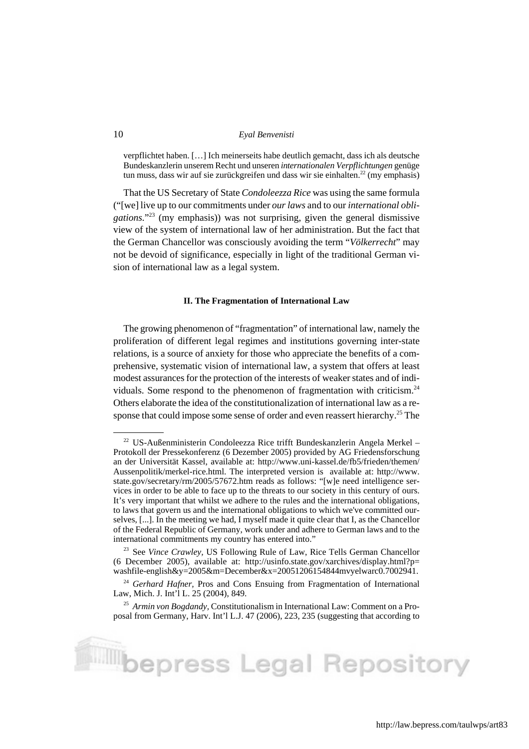verpflichtet haben. […] Ich meinerseits habe deutlich gemacht, dass ich als deutsche Bundeskanzlerin unserem Recht und unseren *internationalen Verpflichtungen* genüge tun muss, dass wir auf sie zurückgreifen und dass wir sie einhalten.<sup>22</sup> (my emphasis)

That the US Secretary of State *Condoleezza Rice* was using the same formula ("[we] live up to our commitments under *our laws* and to our *international obligations.*"23 (my emphasis)) was not surprising, given the general dismissive view of the system of international law of her administration. But the fact that the German Chancellor was consciously avoiding the term "*Völkerrecht*" may not be devoid of significance, especially in light of the traditional German vision of international law as a legal system.

#### **II. The Fragmentation of International Law**

The growing phenomenon of "fragmentation" of international law, namely the proliferation of different legal regimes and institutions governing inter-state relations, is a source of anxiety for those who appreciate the benefits of a comprehensive, systematic vision of international law, a system that offers at least modest assurances for the protection of the interests of weaker states and of individuals. Some respond to the phenomenon of fragmentation with criticism.<sup>24</sup> Others elaborate the idea of the constitutionalization of international law as a response that could impose some sense of order and even reassert hierarchy.<sup>25</sup> The

**Music Separess Legal Repository** 

 $22$  US-Außenministerin Condoleezza Rice trifft Bundeskanzlerin Angela Merkel – Protokoll der Pressekonferenz (6 Dezember 2005) provided by AG Friedensforschung an der Universität Kassel, available at: http://www.uni-kassel.de/fb5/frieden/themen/ Aussenpolitik/merkel-rice.html. The interpreted version is available at: http://www. state.gov/secretary/rm/2005/57672.htm reads as follows: "[w]e need intelligence services in order to be able to face up to the threats to our society in this century of ours. It's very important that whilst we adhere to the rules and the international obligations, to laws that govern us and the international obligations to which we've committed ourselves, [...]. In the meeting we had, I myself made it quite clear that I, as the Chancellor of the Federal Republic of Germany, work under and adhere to German laws and to the international commitments my country has entered into."

<sup>23</sup> See *Vince Crawley,* US Following Rule of Law, Rice Tells German Chancellor (6 December 2005), available at: http://usinfo.state.gov/xarchives/display.html?p= washfile-english $&x=2005&m=December&x=2005120&6154844m$  welwarc $&0.7002941$ .

<sup>&</sup>lt;sup>24</sup> *Gerhard Hafner*, Pros and Cons Ensuing from Fragmentation of International Law, Mich. J. Int'l L. 25 (2004), 849.

<sup>25</sup> *Armin von Bogdandy,* Constitutionalism in International Law: Comment on a Proposal from Germany, Harv. Int'l L.J. 47 (2006), 223, 235 (suggesting that according to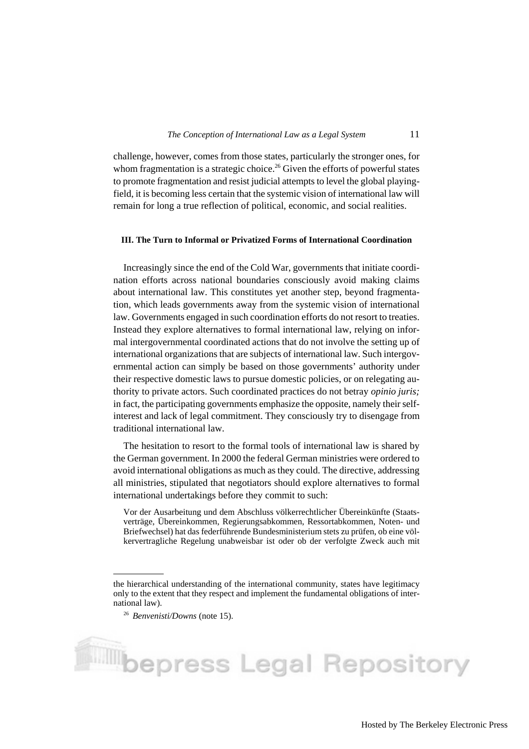challenge, however, comes from those states, particularly the stronger ones, for whom fragmentation is a strategic choice.<sup>26</sup> Given the efforts of powerful states to promote fragmentation and resist judicial attempts to level the global playingfield, it is becoming less certain that the systemic vision of international law will remain for long a true reflection of political, economic, and social realities.

#### **III. The Turn to Informal or Privatized Forms of International Coordination**

Increasingly since the end of the Cold War, governments that initiate coordination efforts across national boundaries consciously avoid making claims about international law. This constitutes yet another step, beyond fragmentation, which leads governments away from the systemic vision of international law. Governments engaged in such coordination efforts do not resort to treaties. Instead they explore alternatives to formal international law, relying on informal intergovernmental coordinated actions that do not involve the setting up of international organizations that are subjects of international law. Such intergovernmental action can simply be based on those governments' authority under their respective domestic laws to pursue domestic policies, or on relegating authority to private actors. Such coordinated practices do not betray *opinio juris;* in fact, the participating governments emphasize the opposite, namely their selfinterest and lack of legal commitment. They consciously try to disengage from traditional international law.

The hesitation to resort to the formal tools of international law is shared by the German government. In 2000 the federal German ministries were ordered to avoid international obligations as much as they could. The directive, addressing all ministries, stipulated that negotiators should explore alternatives to formal international undertakings before they commit to such:

Vor der Ausarbeitung und dem Abschluss völkerrechtlicher Übereinkünfte (Staatsverträge, Übereinkommen, Regierungsabkommen, Ressortabkommen, Noten- und Briefwechsel) hat das federführende Bundesministerium stets zu prüfen, ob eine völkervertragliche Regelung unabweisbar ist oder ob der verfolgte Zweck auch mit

the hierarchical understanding of the international community, states have legitimacy only to the extent that they respect and implement the fundamental obligations of international law).

<sup>26</sup> *Benvenisti/Downs* (note 15).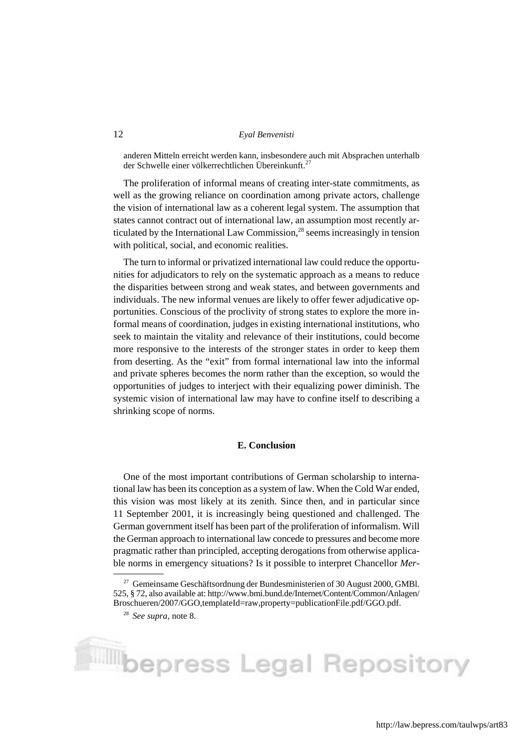anderen Mitteln erreicht werden kann, insbesondere auch mit Absprachen unterhalb der Schwelle einer völkerrechtlichen Übereinkunft.<sup>27</sup>

The proliferation of informal means of creating inter-state commitments, as well as the growing reliance on coordination among private actors, challenge the vision of international law as a coherent legal system. The assumption that states cannot contract out of international law, an assumption most recently articulated by the International Law Commission, $^{28}$  seems increasingly in tension with political, social, and economic realities.

The turn to informal or privatized international law could reduce the opportunities for adjudicators to rely on the systematic approach as a means to reduce the disparities between strong and weak states, and between governments and individuals. The new informal venues are likely to offer fewer adjudicative opportunities. Conscious of the proclivity of strong states to explore the more informal means of coordination, judges in existing international institutions, who seek to maintain the vitality and relevance of their institutions, could become more responsive to the interests of the stronger states in order to keep them from deserting. As the "exit" from formal international law into the informal and private spheres becomes the norm rather than the exception, so would the opportunities of judges to interject with their equalizing power diminish. The systemic vision of international law may have to confine itself to describing a shrinking scope of norms.

#### **E. Conclusion**

One of the most important contributions of German scholarship to international law has been its conception as a system of law. When the Cold War ended, this vision was most likely at its zenith. Since then, and in particular since 11 September 2001, it is increasingly being questioned and challenged. The German government itself has been part of the proliferation of informalism. Will the German approach to international law concede to pressures and become more pragmatic rather than principled, accepting derogations from otherwise applicable norms in emergency situations? Is it possible to interpret Chancellor *Mer-*

 $^{27}$  Gemeinsame Geschäftsordnung der Bundesministerien of 30 August 2000, GMBl. 525, § 72, also available at: http://www.bmi.bund.de/Internet/Content/Common/Anlagen/ Broschueren/2007/GGO,templateId=raw,property=publicationFile.pdf/GGO.pdf.

<sup>28</sup> *See supra,* note 8.